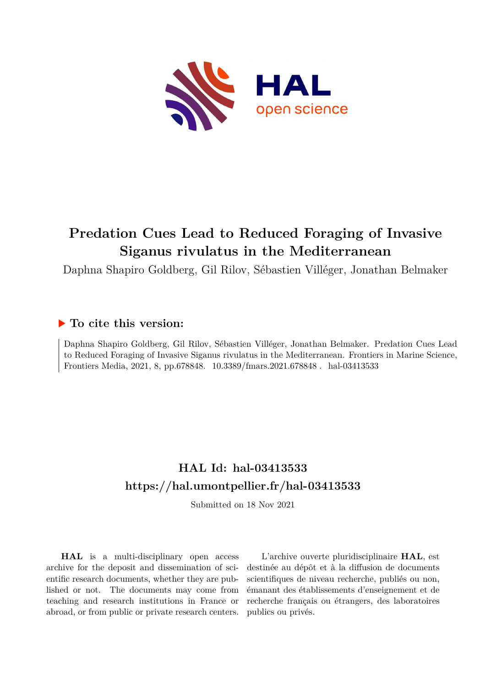

# **Predation Cues Lead to Reduced Foraging of Invasive Siganus rivulatus in the Mediterranean**

Daphna Shapiro Goldberg, Gil Rilov, Sébastien Villéger, Jonathan Belmaker

## **To cite this version:**

Daphna Shapiro Goldberg, Gil Rilov, Sébastien Villéger, Jonathan Belmaker. Predation Cues Lead to Reduced Foraging of Invasive Siganus rivulatus in the Mediterranean. Frontiers in Marine Science, Frontiers Media, 2021, 8, pp.678848.  $10.3389$ /fmars.2021.678848. hal-03413533

## **HAL Id: hal-03413533 <https://hal.umontpellier.fr/hal-03413533>**

Submitted on 18 Nov 2021

**HAL** is a multi-disciplinary open access archive for the deposit and dissemination of scientific research documents, whether they are published or not. The documents may come from teaching and research institutions in France or abroad, or from public or private research centers.

L'archive ouverte pluridisciplinaire **HAL**, est destinée au dépôt et à la diffusion de documents scientifiques de niveau recherche, publiés ou non, émanant des établissements d'enseignement et de recherche français ou étrangers, des laboratoires publics ou privés.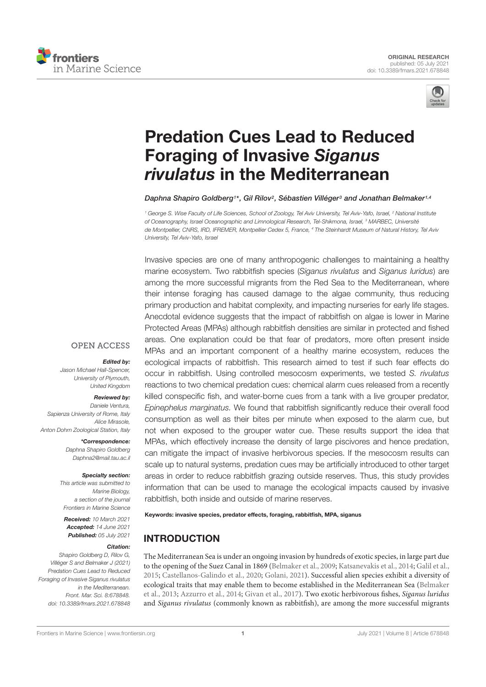



# Predation Cues Lead to Reduced Foraging of Invasive *Siganus rivulatus* in the Mediterranean

*Daphna Shapiro Goldberg1 \*, Gil Rilov2, Sébastien Villéger3 and Jonathan Belmaker1,4*

*<sup>1</sup> George S. Wise Faculty of Life Sciences, School of Zoology, Tel Aviv University, Tel Aviv-Yafo, Israel, <sup>2</sup> National Institute of Oceanography, Israel Oceanographic and Limnological Research, Tel-Shikmona, Israel, <sup>3</sup> MARBEC, Université de Montpellier, CNRS, IRD, IFREMER, Montpellier Cedex 5, France, <sup>4</sup> The Steinhardt Museum of Natural History, Tel Aviv University, Tel Aviv-Yafo, Israel*

Invasive species are one of many anthropogenic challenges to maintaining a healthy marine ecosystem. Two rabbitfish species (*Siganus rivulatus* and *Siganus luridus*) are among the more successful migrants from the Red Sea to the Mediterranean, where their intense foraging has caused damage to the algae community, thus reducing primary production and habitat complexity, and impacting nurseries for early life stages. Anecdotal evidence suggests that the impact of rabbitfish on algae is lower in Marine Protected Areas (MPAs) although rabbitfish densities are similar in protected and fished areas. One explanation could be that fear of predators, more often present inside MPAs and an important component of a healthy marine ecosystem, reduces the ecological impacts of rabbitfish. This research aimed to test if such fear effects do occur in rabbitfish. Using controlled mesocosm experiments, we tested *S. rivulatus* reactions to two chemical predation cues: chemical alarm cues released from a recently killed conspecific fish, and water-borne cues from a tank with a live grouper predator, *Epinephelus marginatus.* We found that rabbitfish significantly reduce their overall food consumption as well as their bites per minute when exposed to the alarm cue, but not when exposed to the grouper water cue. These results support the idea that MPAs, which effectively increase the density of large piscivores and hence predation, can mitigate the impact of invasive herbivorous species. If the mesocosm results can scale up to natural systems, predation cues may be artificially introduced to other target areas in order to reduce rabbitfish grazing outside reserves. Thus, this study provides information that can be used to manage the ecological impacts caused by invasive rabbitfish, both inside and outside of marine reserves.

Keywords: invasive species, predator effects, foraging, rabbitfish, MPA, siganus

## INTRODUCTION

The Mediterranean Sea is under an ongoing invasion by hundreds of exotic species, in large part due to the opening of the Suez Canal in 1869 (Belmaker et al., 2009; Katsanevakis et al., 2014; Galil et al., 2015; Castellanos-Galindo et al., 2020; Golani, 2021). Successful alien species exhibit a diversity of ecological traits that may enable them to become established in the Mediterranean Sea (Belmaker et al., 2013; Azzurro et al., 2014; Givan et al., 2017). Two exotic herbivorous fishes, *Siganus luridus* and *Siganus rivulatus* (commonly known as rabbitfish), are among the more successful migrants

## **OPEN ACCESS**

#### *Edited by:*

*Jason Michael Hall-Spencer, University of Plymouth, United Kingdom*

### *Reviewed by:*

*Daniele Ventura, Sapienza University of Rome, Italy Alice Mirasole, Anton Dohrn Zoological Station, Italy*

> *\*Correspondence: Daphna Shapiro Goldberg Daphna2@mail.tau.ac.il*

#### *Specialty section:*

*This article was submitted to Marine Biology, a section of the journal Frontiers in Marine Science*

*Received: 10 March 2021 Accepted: 14 June 2021 Published: 05 July 2021*

#### *Citation:*

*Shapiro Goldberg D, Rilov G, Villéger S and Belmaker J (2021) Predation Cues Lead to Reduced Foraging of Invasive Siganus rivulatus in the Mediterranean. Front. Mar. Sci. 8:678848. doi: 10.3389/fmars.2021.678848*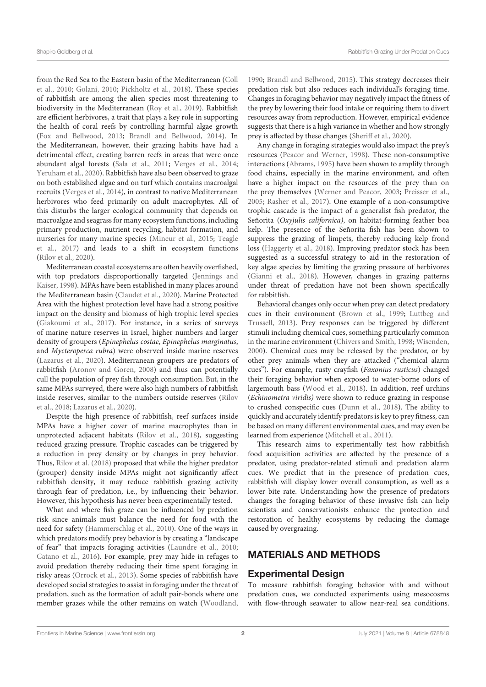from the Red Sea to the Eastern basin of the Mediterranean (Coll et al., 2010; Golani, 2010; Pickholtz et al., 2018). These species of rabbitfish are among the alien species most threatening to biodiversity in the Mediterranean (Roy et al., 2019). Rabbitfish are efficient herbivores, a trait that plays a key role in supporting the health of coral reefs by controlling harmful algae growth (Fox and Bellwood, 2013; Brandl and Bellwood, 2014). In the Mediterranean, however, their grazing habits have had a detrimental effect, creating barren reefs in areas that were once abundant algal forests (Sala et al., 2011; Verges et al., 2014; Yeruham et al., 2020). Rabbitfish have also been observed to graze on both established algae and on turf which contains macroalgal recruits (Verges et al., 2014), in contrast to native Mediterranean herbivores who feed primarily on adult macrophytes. All of this disturbs the larger ecological community that depends on macroalgae and seagrass for many ecosystem functions, including primary production, nutrient recycling, habitat formation, and nurseries for many marine species (Mineur et al., 2015; Teagle et al., 2017) and leads to a shift in ecosystem functions (Rilov et al., 2020).

Mediterranean coastal ecosystems are often heavily overfished, with top predators disproportionally targeted (Jennings and Kaiser, 1998). MPAs have been established in many places around the Mediterranean basin (Claudet et al., 2020). Marine Protected Area with the highest protection level have had a strong positive impact on the density and biomass of high trophic level species (Giakoumi et al., 2017). For instance, in a series of surveys of marine nature reserves in Israel, higher numbers and larger density of groupers (*Epinephelus costae*, *Epinephelus marginatus*, and *Mycteroperca rubra*) were observed inside marine reserves (Lazarus et al., 2020). Mediterranean groupers are predators of rabbitfish (Aronov and Goren, 2008) and thus can potentially cull the population of prey fish through consumption. But, in the same MPAs surveyed, there were also high numbers of rabbitfish inside reserves, similar to the numbers outside reserves (Rilov et al., 2018; Lazarus et al., 2020).

Despite the high presence of rabbitfish, reef surfaces inside MPAs have a higher cover of marine macrophytes than in unprotected adjacent habitats (Rilov et al., 2018), suggesting reduced grazing pressure. Trophic cascades can be triggered by a reduction in prey density or by changes in prey behavior. Thus, Rilov et al. (2018) proposed that while the higher predator (grouper) density inside MPAs might not significantly affect rabbitfish density, it may reduce rabbitfish grazing activity through fear of predation, i.e., by influencing their behavior. However, this hypothesis has never been experimentally tested.

What and where fish graze can be influenced by predation risk since animals must balance the need for food with the need for safety (Hammerschlag et al., 2010). One of the ways in which predators modify prey behavior is by creating a "landscape of fear" that impacts foraging activities (Laundre et al., 2010; Catano et al., 2016). For example, prey may hide in refuges to avoid predation thereby reducing their time spent foraging in risky areas (Orrock et al., 2013). Some species of rabbitfish have developed social strategies to assist in foraging under the threat of predation, such as the formation of adult pair-bonds where one member grazes while the other remains on watch (Woodland,

1990; Brandl and Bellwood, 2015). This strategy decreases their predation risk but also reduces each individual's foraging time. Changes in foraging behavior may negatively impact the fitness of the prey by lowering their food intake or requiring them to divert resources away from reproduction. However, empirical evidence suggests that there is a high variance in whether and how strongly prey is affected by these changes (Sheriff et al., 2020).

Any change in foraging strategies would also impact the prey's resources (Peacor and Werner, 1998). These non-consumptive interactions (Abrams, 1995) have been shown to amplify through food chains, especially in the marine environment, and often have a higher impact on the resources of the prey than on the prey themselves (Werner and Peacor, 2003; Preisser et al., 2005; Rasher et al., 2017). One example of a non-consumptive trophic cascade is the impact of a generalist fish predator, the Señorita (*Oxyjulis californica)*, on habitat-forming feather boa kelp. The presence of the Señorita fish has been shown to suppress the grazing of limpets, thereby reducing kelp frond loss (Haggerty et al., 2018). Improving predator stock has been suggested as a successful strategy to aid in the restoration of key algae species by limiting the grazing pressure of herbivores (Gianni et al., 2018). However, changes in grazing patterns under threat of predation have not been shown specifically for rabbitfish.

Behavioral changes only occur when prey can detect predatory cues in their environment (Brown et al., 1999; Luttbeg and Trussell, 2013). Prey responses can be triggered by different stimuli including chemical cues, something particularly common in the marine environment (Chivers and Smith, 1998; Wisenden, 2000). Chemical cues may be released by the predator, or by other prey animals when they are attacked ("chemical alarm cues"). For example, rusty crayfish (*Faxonius rusticus*) changed their foraging behavior when exposed to water-borne odors of largemouth bass (Wood et al., 2018). In addition, reef urchins (*Echinometra viridis)* were shown to reduce grazing in response to crushed conspecific cues (Dunn et al., 2018). The ability to quickly and accurately identify predators is key to prey fitness, can be based on many different environmental cues, and may even be learned from experience (Mitchell et al., 2011).

This research aims to experimentally test how rabbitfish food acquisition activities are affected by the presence of a predator, using predator-related stimuli and predation alarm cues. We predict that in the presence of predation cues, rabbitfish will display lower overall consumption, as well as a lower bite rate. Understanding how the presence of predators changes the foraging behavior of these invasive fish can help scientists and conservationists enhance the protection and restoration of healthy ecosystems by reducing the damage caused by overgrazing.

## MATERIALS AND METHODS

## Experimental Design

To measure rabbitfish foraging behavior with and without predation cues, we conducted experiments using mesocosms with flow-through seawater to allow near-real sea conditions.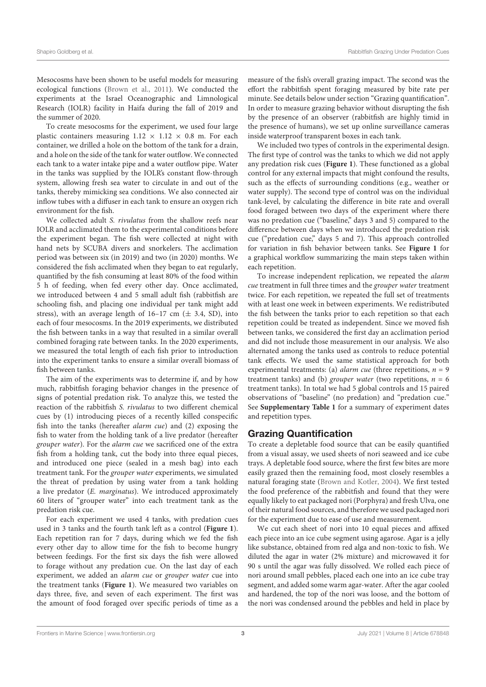Mesocosms have been shown to be useful models for measuring ecological functions (Brown et al., 2011). We conducted the experiments at the Israel Oceanographic and Limnological Research (IOLR) facility in Haifa during the fall of 2019 and the summer of 2020.

To create mesocosms for the experiment, we used four large plastic containers measuring  $1.12 \times 1.12 \times 0.8$  m. For each container, we drilled a hole on the bottom of the tank for a drain, and a hole on the side of the tank for water outflow. We connected each tank to a water intake pipe and a water outflow pipe. Water in the tanks was supplied by the IOLR's constant flow-through system, allowing fresh sea water to circulate in and out of the tanks, thereby mimicking sea conditions. We also connected air inflow tubes with a diffuser in each tank to ensure an oxygen rich environment for the fish.

We collected adult *S. rivulatus* from the shallow reefs near IOLR and acclimated them to the experimental conditions before the experiment began. The fish were collected at night with hand nets by SCUBA divers and snorkelers. The acclimation period was between six (in 2019) and two (in 2020) months. We considered the fish acclimated when they began to eat regularly, quantified by the fish consuming at least 80% of the food within 5 h of feeding, when fed every other day. Once acclimated, we introduced between 4 and 5 small adult fish (rabbitfish are schooling fish, and placing one individual per tank might add stress), with an average length of  $16-17$  cm ( $\pm$  3.4, SD), into each of four mesocosms. In the 2019 experiments, we distributed the fish between tanks in a way that resulted in a similar overall combined foraging rate between tanks. In the 2020 experiments, we measured the total length of each fish prior to introduction into the experiment tanks to ensure a similar overall biomass of fish between tanks.

The aim of the experiments was to determine if, and by how much, rabbitfish foraging behavior changes in the presence of signs of potential predation risk. To analyze this, we tested the reaction of the rabbitfish *S. rivulatus* to two different chemical cues by (1) introducing pieces of a recently killed conspecific fish into the tanks (hereafter *alarm cue*) and (2) exposing the fish to water from the holding tank of a live predator (hereafter *grouper water*). For the *alarm cue* we sacrificed one of the extra fish from a holding tank, cut the body into three equal pieces, and introduced one piece (sealed in a mesh bag) into each treatment tank. For the *grouper water* experiments, we simulated the threat of predation by using water from a tank holding a live predator (*E. marginatus*). We introduced approximately 60 liters of "grouper water" into each treatment tank as the predation risk cue.

For each experiment we used 4 tanks, with predation cues used in 3 tanks and the fourth tank left as a control (**Figure 1**). Each repetition ran for 7 days, during which we fed the fish every other day to allow time for the fish to become hungry between feedings. For the first six days the fish were allowed to forage without any predation cue. On the last day of each experiment, we added an *alarm cue* or *grouper water* cue into the treatment tanks (**Figure 1**). We measured two variables on days three, five, and seven of each experiment. The first was the amount of food foraged over specific periods of time as a measure of the fish's overall grazing impact. The second was the effort the rabbitfish spent foraging measured by bite rate per minute. See details below under section "Grazing quantification". In order to measure grazing behavior without disrupting the fish by the presence of an observer (rabbitfish are highly timid in the presence of humans), we set up online surveillance cameras inside waterproof transparent boxes in each tank.

We included two types of controls in the experimental design. The first type of control was the tanks to which we did not apply any predation risk cues (**Figure 1**). These functioned as a global control for any external impacts that might confound the results, such as the effects of surrounding conditions (e.g., weather or water supply). The second type of control was on the individual tank-level, by calculating the difference in bite rate and overall food foraged between two days of the experiment where there was no predation cue ("baseline," days 3 and 5) compared to the difference between days when we introduced the predation risk cue ("predation cue," days 5 and 7). This approach controlled for variation in fish behavior between tanks. See **Figure 1** for a graphical workflow summarizing the main steps taken within each repetition.

To increase independent replication, we repeated the *alarm cue* treatment in full three times and the *grouper water* treatment twice. For each repetition, we repeated the full set of treatments with at least one week in between experiments. We redistributed the fish between the tanks prior to each repetition so that each repetition could be treated as independent. Since we moved fish between tanks, we considered the first day an acclimation period and did not include those measurement in our analysis. We also alternated among the tanks used as controls to reduce potential tank effects. We used the same statistical approach for both experimental treatments: (a) *alarm cue* (three repetitions, *n* = 9 treatment tanks) and (b) *grouper water* (two repetitions, *n* = 6 treatment tanks). In total we had 5 global controls and 15 paired observations of "baseline" (no predation) and "predation cue." See **Supplementary Table 1** for a summary of experiment dates and repetition types.

## Grazing Quantification

To create a depletable food source that can be easily quantified from a visual assay, we used sheets of nori seaweed and ice cube trays. A depletable food source, where the first few bites are more easily grazed then the remaining food, most closely resembles a natural foraging state (Brown and Kotler, 2004). We first tested the food preference of the rabbitfish and found that they were equally likely to eat packaged nori (Porphyra) and fresh Ulva, one of their natural food sources, and therefore we used packaged nori for the experiment due to ease of use and measurement.

We cut each sheet of nori into 10 equal pieces and affixed each piece into an ice cube segment using agarose. Agar is a jelly like substance, obtained from red alga and non-toxic to fish. We diluted the agar in water (2% mixture) and microwaved it for 90 s until the agar was fully dissolved. We rolled each piece of nori around small pebbles, placed each one into an ice cube tray segment, and added some warm agar-water. After the agar cooled and hardened, the top of the nori was loose, and the bottom of the nori was condensed around the pebbles and held in place by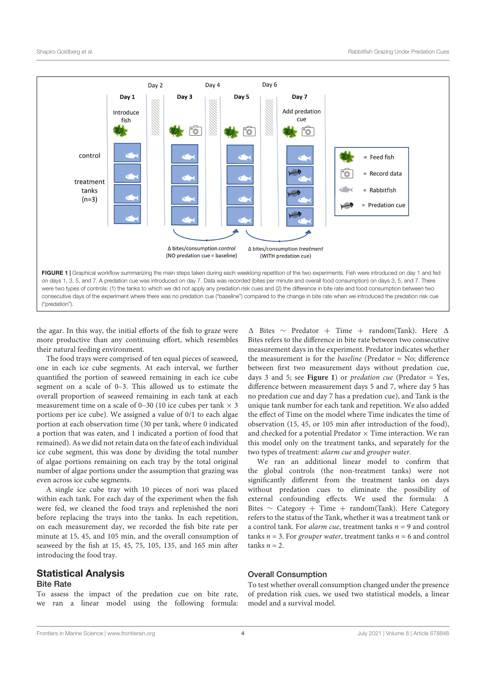

the agar. In this way, the initial efforts of the fish to graze were more productive than any continuing effort, which resembles their natural feeding environment.

The food trays were comprised of ten equal pieces of seaweed, one in each ice cube segments. At each interval, we further quantified the portion of seaweed remaining in each ice cube segment on a scale of 0–3. This allowed us to estimate the overall proportion of seaweed remaining in each tank at each measurement time on a scale of 0–30 (10 ice cubes per tank  $\times$  3 portions per ice cube). We assigned a value of 0/1 to each algae portion at each observation time (30 per tank, where 0 indicated a portion that was eaten, and 1 indicated a portion of food that remained). As we did not retain data on the fate of each individual ice cube segment, this was done by dividing the total number of algae portions remaining on each tray by the total original number of algae portions under the assumption that grazing was even across ice cube segments.

A single ice cube tray with 10 pieces of nori was placed within each tank. For each day of the experiment when the fish were fed, we cleaned the food trays and replenished the nori before replacing the trays into the tanks. In each repetition, on each measurement day, we recorded the fish bite rate per minute at 15, 45, and 105 min, and the overall consumption of seaweed by the fish at 15, 45, 75, 105, 135, and 165 min after introducing the food tray.

#### Statistical Analysis Bite Rate

To assess the impact of the predation cue on bite rate, we ran a linear model using the following formula:  $\Delta$  Bites  $\sim$  Predator + Time + random(Tank). Here  $\Delta$ Bites refers to the difference in bite rate between two consecutive measurement days in the experiment. Predator indicates whether the measurement is for the *baseline* (Predator = No; difference between first two measurement days without predation cue, days 3 and 5; see **Figure 1**) or *predation cue* (Predator = Yes, difference between measurement days 5 and 7, where day 5 has no predation cue and day 7 has a predation cue), and Tank is the unique tank number for each tank and repetition. We also added the effect of Time on the model where Time indicates the time of observation (15, 45, or 105 min after introduction of the food), and checked for a potential Predator  $\times$  Time interaction. We ran this model only on the treatment tanks, and separately for the two types of treatment: *alarm cue* and *grouper water*.

We ran an additional linear model to confirm that the global controls (the non-treatment tanks) were not significantly different from the treatment tanks on days without predation cues to eliminate the possibility of external confounding effects. We used the formula:  $\Delta$ Bites  $\sim$  Category + Time + random(Tank). Here Category refers to the status of the Tank, whether it was a treatment tank or a control tank. For *alarm cue*, treatment tanks *n* = 9 and control tanks *n* = 3. For *grouper water*, treatment tanks *n* = 6 and control  $tanks n = 2.$ 

#### Overall Consumption

To test whether overall consumption changed under the presence of predation risk cues, we used two statistical models, a linear model and a survival model.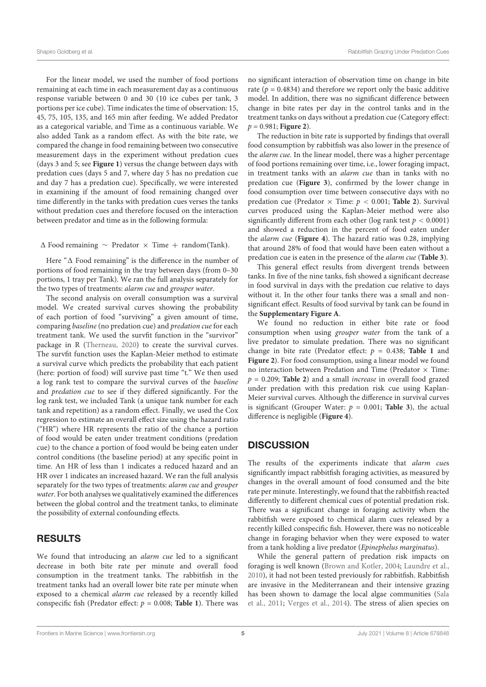For the linear model, we used the number of food portions remaining at each time in each measurement day as a continuous response variable between 0 and 30 (10 ice cubes per tank, 3 portions per ice cube). Time indicates the time of observation: 15, 45, 75, 105, 135, and 165 min after feeding. We added Predator as a categorical variable, and Time as a continuous variable. We also added Tank as a random effect. As with the bite rate, we compared the change in food remaining between two consecutive measurement days in the experiment without predation cues (days 3 and 5; see **Figure 1**) versus the change between days with predation cues (days 5 and 7, where day 5 has no predation cue and day 7 has a predation cue). Specifically, we were interested in examining if the amount of food remaining changed over time differently in the tanks with predation cues verses the tanks without predation cues and therefore focused on the interaction between predator and time as in the following formula:

 $\Delta$  Food remaining  $\sim$  Predator  $\times$  Time  $+$  random(Tank).

Here " $\Delta$  Food remaining" is the difference in the number of portions of food remaining in the tray between days (from 0–30 portions, 1 tray per Tank). We ran the full analysis separately for the two types of treatments: *alarm cue* and *grouper water*.

The second analysis on overall consumption was a survival model. We created survival curves showing the probability of each portion of food "surviving" a given amount of time, comparing *baseline* (no predation cue) and *predation cue* for each treatment tank. We used the survfit function in the "survivor" package in R (Therneau, 2020) to create the survival curves. The survfit function uses the Kaplan-Meier method to estimate a survival curve which predicts the probability that each patient (here: portion of food) will survive past time "t." We then used a log rank test to compare the survival curves of the *baseline* and *predation cue* to see if they differed significantly. For the log rank test, we included Tank (a unique tank number for each tank and repetition) as a random effect. Finally, we used the Cox regression to estimate an overall effect size using the hazard ratio ("HR") where HR represents the ratio of the chance a portion of food would be eaten under treatment conditions (predation cue) to the chance a portion of food would be being eaten under control conditions (the baseline period) at any specific point in time. An HR of less than 1 indicates a reduced hazard and an HR over 1 indicates an increased hazard. We ran the full analysis separately for the two types of treatments: *alarm cue* and *grouper water*. For both analyses we qualitatively examined the differences between the global control and the treatment tanks, to eliminate the possibility of external confounding effects.

## RESULTS

We found that introducing an *alarm cue* led to a significant decrease in both bite rate per minute and overall food consumption in the treatment tanks. The rabbitfish in the treatment tanks had an overall lower bite rate per minute when exposed to a chemical *alarm cue* released by a recently killed conspecific fish (Predator effect:  $p = 0.008$ ; Table 1). There was

no significant interaction of observation time on change in bite rate ( $p = 0.4834$ ) and therefore we report only the basic additive model. In addition, there was no significant difference between change in bite rates per day in the control tanks and in the treatment tanks on days without a predation cue (Category effect: *p* = 0.981; **Figure 2**).

The reduction in bite rate is supported by findings that overall food consumption by rabbitfish was also lower in the presence of the *alarm cue.* In the linear model, there was a higher percentage of food portions remaining over time, i.e., lower foraging impact, in treatment tanks with an *alarm cue* than in tanks with no predation cue (**Figure 3**), confirmed by the lower change in food consumption over time between consecutive days with no predation cue (Predator  $\times$  Time:  $p < 0.001$ ; **Table 2**). Survival curves produced using the Kaplan-Meier method were also significantly different from each other (log rank test  $p < 0.0001$ ) and showed a reduction in the percent of food eaten under the *alarm cue* (**Figure 4**). The hazard ratio was 0.28, implying that around 28% of food that would have been eaten without a predation cue is eaten in the presence of the *alarm cue* (**Table 3**).

This general effect results from divergent trends between tanks. In five of the nine tanks, fish showed a significant decrease in food survival in days with the predation cue relative to days without it. In the other four tanks there was a small and nonsignificant effect. Results of food survival by tank can be found in the **Supplementary Figure A**.

We found no reduction in either bite rate or food consumption when using *grouper water* from the tank of a live predator to simulate predation. There was no significant change in bite rate (Predator effect:  $p = 0.438$ ; Table 1 and **Figure 2**). For food consumption, using a linear model we found no interaction between Predation and Time (Predator  $\times$  Time: *p* = 0.209; **Table 2**) and a small *increase* in overall food grazed under predation with this predation risk cue using Kaplan-Meier survival curves. Although the difference in survival curves is significant (Grouper Water:  $p = 0.001$ ; **Table 3**), the actual difference is negligible (Figure 4).

## **DISCUSSION**

The results of the experiments indicate that *alarm cue*s significantly impact rabbitfish foraging activities, as measured by changes in the overall amount of food consumed and the bite rate per minute. Interestingly, we found that the rabbitfish reacted differently to different chemical cues of potential predation risk. There was a significant change in foraging activity when the rabbitfish were exposed to chemical alarm cues released by a recently killed conspecific fish. However, there was no noticeable change in foraging behavior when they were exposed to water from a tank holding a live predator (*Epinephelus marginatus*).

While the general pattern of predation risk impacts on foraging is well known (Brown and Kotler, 2004; Laundre et al., 2010), it had not been tested previously for rabbitfish. Rabbitfish are invasive in the Mediterranean and their intensive grazing has been shown to damage the local algae communities (Sala et al., 2011; Verges et al., 2014). The stress of alien species on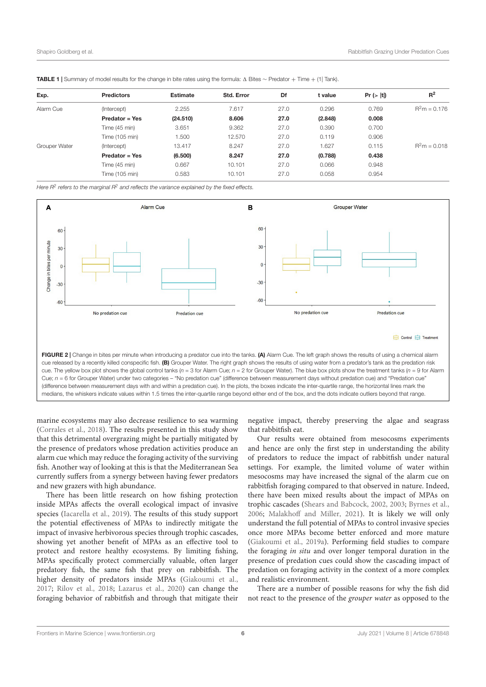| <b>Predictors</b>     | <b>Estimate</b> | Std. Error | Df    | t value |       | $R^2$                 |
|-----------------------|-----------------|------------|-------|---------|-------|-----------------------|
|                       |                 |            |       |         |       |                       |
|                       |                 |            |       |         |       | $R^2m = 0.176$        |
| Predator = Yes        | (24.510)        | 8.606      | 27.0  | (2.848) | 0.008 |                       |
| Time (45 min)         | 3.651           | 9.362      | 27.0  | 0.390   | 0.700 |                       |
| Time (105 min)        | 1.500           | 12.570     | 27.0  | 0.119   | 0.906 |                       |
| (Intercept)           | 13.417          | 8.247      | 27.0  | 1.627   | 0.115 | $R^2m = 0.018$        |
| <b>Predator = Yes</b> | (6.500)         | 8.247      | 27.0  | (0.788) | 0.438 |                       |
| Time (45 min)         | 0.667           | 10.101     | 27.0  | 0.066   | 0.948 |                       |
| Time (105 min)        | 0.583           | 10.101     | 27.0  | 0.058   | 0.954 |                       |
|                       | (Intercept)     | 2.255      | 7.617 | 27.0    | 0.296 | Pr ( >  t  )<br>0.769 |

TABLE 1 | Summary of model results for the change in bite rates using the formula:  $\Delta$  Bites ~ Predator + Time + (1) Tank).

*Here R2 refers to the marginal R2 and reflects the variance explained by the fixed effects.*



marine ecosystems may also decrease resilience to sea warming (Corrales et al., 2018). The results presented in this study show that this detrimental overgrazing might be partially mitigated by the presence of predators whose predation activities produce an alarm cue which may reduce the foraging activity of the surviving fish. Another way of looking at this is that the Mediterranean Sea currently suffers from a synergy between having fewer predators and new grazers with high abundance.

There has been little research on how fishing protection inside MPAs affects the overall ecological impact of invasive species (Iacarella et al., 2019). The results of this study support the potential effectiveness of MPAs to indirectly mitigate the impact of invasive herbivorous species through trophic cascades, showing yet another benefit of MPAs as an effective tool to protect and restore healthy ecosystems. By limiting fishing, MPAs specifically protect commercially valuable, often larger predatory fish, the same fish that prey on rabbitfish. The higher density of predators inside MPAs (Giakoumi et al., 2017; Rilov et al., 2018; Lazarus et al., 2020) can change the foraging behavior of rabbitfish and through that mitigate their negative impact, thereby preserving the algae and seagrass that rabbitfish eat.

Our results were obtained from mesocosms experiments and hence are only the first step in understanding the ability of predators to reduce the impact of rabbitfish under natural settings. For example, the limited volume of water within mesocosms may have increased the signal of the alarm cue on rabbitfish foraging compared to that observed in nature. Indeed, there have been mixed results about the impact of MPAs on trophic cascades (Shears and Babcock, 2002, 2003; Byrnes et al., 2006; Malakhoff and Miller, 2021). It is likely we will only understand the full potential of MPAs to control invasive species once more MPAs become better enforced and more mature (Giakoumi et al., 2019a). Performing field studies to compare the foraging *in situ* and over longer temporal duration in the presence of predation cues could show the cascading impact of predation on foraging activity in the context of a more complex and realistic environment.

There are a number of possible reasons for why the fish did not react to the presence of the *grouper water* as opposed to the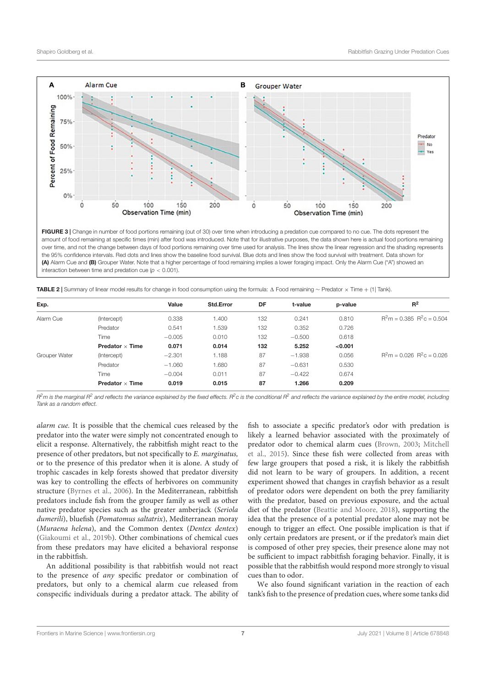

FIGURE 3 | Change in number of food portions remaining (out of 30) over time when introducing a predation cue compared to no cue. The dots represent the amount of food remaining at specific times (min) after food was introduced. Note that for illustrative purposes, the data shown here is actual food portions remaining over time, and not the change between days of food portions remaining over time used for analysis. The lines show the linear regression and the shading represents the 95% confidence intervals. Red dots and lines show the baseline food survival. Blue dots and lines show the food survival with treatment. Data shown for (A) Alarm Cue and (B) Grouper Water. Note that a higher percentage of food remaining implies a lower foraging impact. Only the Alarm Cue ("A") showed an interaction between time and predation cue (*p <* 0.001).

**TABLE 2** | Summary of linear model results for change in food consumption using the formula:  $\Delta$  Food remaining  $\sim$  Predator  $\times$  Time  $+$  (1) Tank).

| Exp.          |                        | Value    | <b>Std.Error</b> | DF  | t-value  | p-value | $R^2$                         |
|---------------|------------------------|----------|------------------|-----|----------|---------|-------------------------------|
| Alarm Cue     | (Intercept)            | 0.338    | 1.400            | 132 | 0.241    | 0.810   | $R^2m = 0.385$ $R^2c = 0.504$ |
|               | Predator               | 0.541    | 1.539            | 132 | 0.352    | 0.726   |                               |
|               | Time                   | $-0.005$ | 0.010            | 132 | $-0.500$ | 0.618   |                               |
|               | Predator $\times$ Time | 0.071    | 0.014            | 132 | 5.252    | < 0.001 |                               |
| Grouper Water | (Intercept)            | $-2.301$ | 1.188            | 87  | $-1.938$ | 0.056   | $R^2m = 0.026$ $R^2c = 0.026$ |
|               | Predator               | $-1.060$ | 1.680            | 87  | $-0.631$ | 0.530   |                               |
|               | Time                   | $-0.004$ | 0.011            | 87  | $-0.422$ | 0.674   |                               |
|               | Predator $\times$ Time | 0.019    | 0.015            | 87  | 1.266    | 0.209   |                               |

*R2m is the marginal R2 and reflects the variance explained by the fixed effects. R2c is the conditional R2 and reflects the variance explained by the entire model, including Tank as a random effect.*

*alarm cue.* It is possible that the chemical cues released by the predator into the water were simply not concentrated enough to elicit a response. Alternatively, the rabbitfish might react to the presence of other predators, but not specifically to *E. marginatus,* or to the presence of this predator when it is alone. A study of trophic cascades in kelp forests showed that predator diversity was key to controlling the effects of herbivores on community structure (Byrnes et al., 2006). In the Mediterranean, rabbitfish predators include fish from the grouper family as well as other native predator species such as the greater amberjack (*Seriola dumerili*), bluefish (*Pomatomus saltatrix*), Mediterranean moray (*Muraena helena*), and the Common dentex (*Dentex dentex*) (Giakoumi et al., 2019b). Other combinations of chemical cues from these predators may have elicited a behavioral response in the rabbitfish.

An additional possibility is that rabbitfish would not react to the presence of *any* specific predator or combination of predators, but only to a chemical alarm cue released from conspecific individuals during a predator attack. The ability of fish to associate a specific predator's odor with predation is likely a learned behavior associated with the proximately of predator odor to chemical alarm cues (Brown, 2003; Mitchell et al., 2015). Since these fish were collected from areas with few large groupers that posed a risk, it is likely the rabbitfish did not learn to be wary of groupers. In addition, a recent experiment showed that changes in crayfish behavior as a result of predator odors were dependent on both the prey familiarity with the predator, based on previous exposure, and the actual diet of the predator (Beattie and Moore, 2018), supporting the idea that the presence of a potential predator alone may not be enough to trigger an effect. One possible implication is that if only certain predators are present, or if the predator's main diet is composed of other prey species, their presence alone may not be sufficient to impact rabbitfish foraging behavior. Finally, it is possible that the rabbitfish would respond more strongly to visual cues than to odor.

We also found significant variation in the reaction of each tank's fish to the presence of predation cues, where some tanks did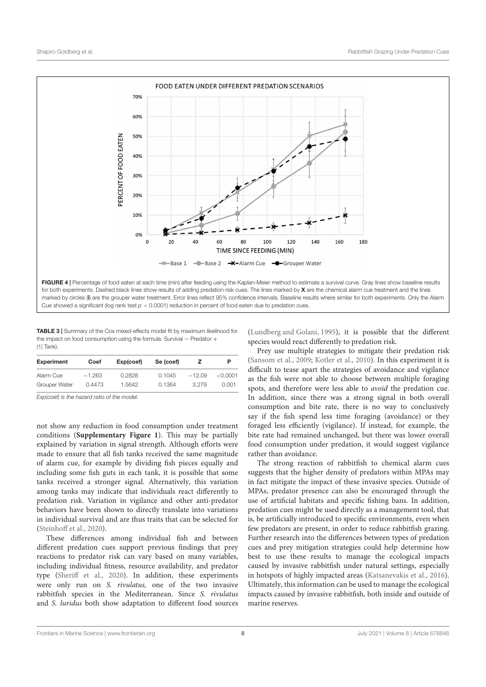

TABLE 3 | Summary of the Cox mixed-effects model fit by maximum likelihood for the impact on food consumption using the formula: Survival  $\sim$  Predator  $+$ (1| Tank).

| <b>Experiment</b> | Coef     | Exp(coef) | Se (coef) |          |          |
|-------------------|----------|-----------|-----------|----------|----------|
| Alarm Cue         | $-1.263$ | 0.2828    | 0.1045    | $-12.09$ | < 0.0001 |
| Grouper Water     | 0.4473   | 1.5642    | 0.1364    | 3.279    | 0.001    |

*Exp(coef) is the hazard ratio of the model.*

not show any reduction in food consumption under treatment conditions (**Supplementary Figure 1**). This may be partially explained by variation in signal strength. Although efforts were made to ensure that all fish tanks received the same magnitude of alarm cue, for example by dividing fish pieces equally and including some fish guts in each tank, it is possible that some tanks received a stronger signal. Alternatively, this variation among tanks may indicate that individuals react differently to predation risk. Variation in vigilance and other anti-predator behaviors have been shown to directly translate into variations in individual survival and are thus traits that can be selected for (Steinhoff et al., 2020).

These differences among individual fish and between different predation cues support previous findings that prey reactions to predator risk can vary based on many variables, including individual fitness, resource availability, and predator type (Sheriff et al., 2020). In addition, these experiments were only run on *S. rivulatus,* one of the two invasive rabbitfish species in the Mediterranean. Since *S. rivulatus* and *S. luridus* both show adaptation to different food sources (Lundberg and Golani, 1995), it is possible that the different species would react differently to predation risk.

Prey use multiple strategies to mitigate their predation risk (Sansom et al., 2009; Kotler et al., 2010). In this experiment it is difficult to tease apart the strategies of avoidance and vigilance as the fish were not able to choose between multiple foraging spots, and therefore were less able to *avoid* the predation cue. In addition, since there was a strong signal in both overall consumption and bite rate, there is no way to conclusively say if the fish spend less time foraging (avoidance) or they foraged less efficiently (vigilance). If instead, for example, the bite rate had remained unchanged, but there was lower overall food consumption under predation, it would suggest vigilance rather than avoidance.

The strong reaction of rabbitfish to chemical alarm cues suggests that the higher density of predators within MPAs may in fact mitigate the impact of these invasive species. Outside of MPAs, predator presence can also be encouraged through the use of artificial habitats and specific fishing bans. In addition, predation cues might be used directly as a management tool, that is, be artificially introduced to specific environments, even when few predators are present, in order to reduce rabbitfish grazing. Further research into the differences between types of predation cues and prey mitigation strategies could help determine how best to use these results to manage the ecological impacts caused by invasive rabbitfish under natural settings, especially in hotspots of highly impacted areas (Katsanevakis et al., 2016). Ultimately, this information can be used to manage the ecological impacts caused by invasive rabbitfish, both inside and outside of marine reserves.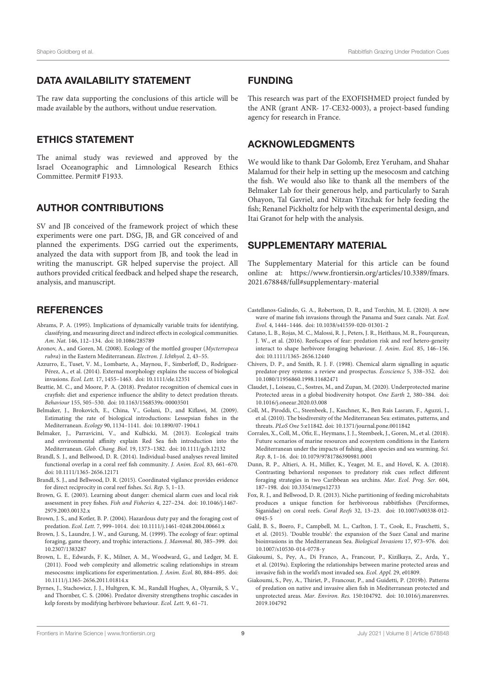## DATA AVAILABILITY STATEMENT

The raw data supporting the conclusions of this article will be made available by the authors, without undue reservation.

## ETHICS STATEMENT

The animal study was reviewed and approved by the Israel Oceanographic and Limnological Research Ethics Committee. Permit# F1933.

## AUTHOR CONTRIBUTIONS

SV and JB conceived of the framework project of which these experiments were one part. DSG, JB, and GR conceived of and planned the experiments. DSG carried out the experiments, analyzed the data with support from JB, and took the lead in writing the manuscript. GR helped supervise the project. All authors provided critical feedback and helped shape the research, analysis, and manuscript.

## **REFERENCES**

- Abrams, P. A. (1995). Implications of dynamically variable traits for identifying, classifying, and measuring direct and indirect effects in ecological communities. *Am. Nat.* 146, 112–134. doi: 10.1086/285789
- Aronov, A., and Goren, M. (2008). Ecology of the mottled grouper (*Mycterropeca rubra*) in the Eastern Mediterranean. *Electron. J. Ichthyol.* 2, 43–55.
- Azzurro, E., Tuset, V. M., Lombarte, A., Maynou, F., Simberloff, D., Rodríguez-Pérez, A., et al. (2014). External morphology explains the success of biological invasions. *Ecol. Lett.* 17, 1455–1463. doi: 10.1111/ele.12351
- Beattie, M. C., and Moore, P. A. (2018). Predator recognition of chemical cues in crayfish: diet and experience influence the ability to detect predation threats. *Behaviour* 155, 505–530. doi: 10.1163/1568539x-00003501
- Belmaker, J., Brokovich, E., China, V., Golani, D., and Kiflawi, M. (2009). Estimating the rate of biological introductions: Lessepsian fishes in the Mediterranean. *Ecology* 90, 1134–1141. doi: 10.1890/07-1904.1
- Belmaker, J., Parravicini, V., and Kulbicki, M. (2013). Ecological traits and environmental affinity explain Red Sea fish introduction into the Mediterranean. *Glob. Chang. Biol.* 19, 1373–1382. doi: 10.1111/gcb.12132
- Brandl, S. J., and Bellwood, D. R. (2014). Individual-based analyses reveal limited functional overlap in a coral reef fish community. *J. Anim. Ecol.* 83, 661–670. doi: 10.1111/1365-2656.12171
- Brandl, S. J., and Bellwood, D. R. (2015). Coordinated vigilance provides evidence for direct reciprocity in coral reef fishes. *Sci. Rep.* 5, 1–13.
- Brown, G. E. (2003). Learning about danger: chemical alarm cues and local risk assessment in prey fishes. *Fish and Fisheries* 4, 227–234. doi: 10.1046/j.1467- 2979.2003.00132.x
- Brown, J. S., and Kotler, B. P. (2004). Hazardous duty pay and the foraging cost of predation. *Ecol. Lett.* 7, 999–1014. doi: 10.1111/j.1461-0248.2004.00661.x
- Brown, J. S., Laundre, J. W., and Gurung, M. (1999). The ecology of fear: optimal foraging, game theory, and trophic interactions. *J. Mammal.* 80, 385–399. doi: 10.2307/1383287
- Brown, L. E., Edwards, F. K., Milner, A. M., Woodward, G., and Ledger, M. E. (2011). Food web complexity and allometric scaling relationships in stream mesocosms: implications for experimentation. *J. Anim. Ecol.* 80, 884–895. doi: 10.1111/j.1365-2656.2011.01814.x
- Byrnes, J., Stachowicz, J. J., Hultgren, K. M., Randall Hughes, A., Olyarnik, S. V., and Thornber, C. S. (2006). Predator diversity strengthens trophic cascades in kelp forests by modifying herbivore behaviour. *Ecol. Lett.* 9, 61–71.

## FUNDING

This research was part of the EXOFISHMED project funded by the ANR (grant ANR- 17-CE32-0003), a project-based funding agency for research in France.

## ACKNOWLEDGMENTS

We would like to thank Dar Golomb, Erez Yeruham, and Shahar Malamud for their help in setting up the mesocosm and catching the fish. We would also like to thank all the members of the Belmaker Lab for their generous help, and particularly to Sarah Ohayon, Tal Gavriel, and Nitzan Yitzchak for help feeding the fish; Renanel Pickholtz for help with the experimental design, and Itai Granot for help with the analysis.

## SUPPLEMENTARY MATERIAL

The Supplementary Material for this article can be found online at: https://www.frontiersin.org/articles/10.3389/fmars. 2021.678848/full#supplementary-material

- Castellanos-Galindo, G. A., Robertson, D. R., and Torchin, M. E. (2020). A new wave of marine fish invasions through the Panama and Suez canals. *Nat. Ecol. Evol.* 4, 1444–1446. doi: 10.1038/s41559-020-01301-2
- Catano, L. B., Rojas, M. C., Malossi, R. J., Peters, J. R., Heithaus, M. R., Fourqurean, J. W., et al. (2016). Reefscapes of fear: predation risk and reef hetero-geneity interact to shape herbivore foraging behaviour. *J. Anim. Ecol.* 85, 146–156. doi: 10.1111/1365-2656.12440
- Chivers, D. P., and Smith, R. J. F. (1998). Chemical alarm signalling in aquatic predator-prey systems: a review and prospectus. *Écoscience* 5, 338–352. doi: 10.1080/11956860.1998.11682471
- Claudet, J., Loiseau, C., Sostres, M., and Zupan, M. (2020). Underprotected marine Protected areas in a global biodiversity hotspot. *One Earth* 2, 380–384. doi: 10.1016/j.oneear.2020.03.008
- Coll, M., Piroddi, C., Steenbeek, J., Kaschner, K., Ben Rais Lasram, F., Aguzzi, J., et al. (2010). The biodiversity of the Mediterranean Sea: estimates, patterns, and threats. *PLoS One* 5:e11842. doi: 10.1371/journal.pone.0011842
- Corrales, X., Coll, M., Ofir, E., Heymans, J. J., Steenbeek, J., Goren, M., et al. (2018). Future scenarios of marine resources and ecosystem conditions in the Eastern Mediterranean under the impacts of fishing, alien species and sea warming. *Sci. Rep.* 8, 1–16. doi: 10.1079/9781786390981.0001
- Dunn, R. P., Altieri, A. H., Miller, K., Yeager, M. E., and Hovel, K. A. (2018). Contrasting behavioral responses to predatory risk cues reflect different foraging strategies in two Caribbean sea urchins. *Mar. Ecol. Prog. Ser.* 604, 187–198. doi: 10.3354/meps12733
- Fox, R. J., and Bellwood, D. R. (2013). Niche partitioning of feeding microhabitats produces a unique function for herbivorous rabbitfishes (Perciformes, Siganidae) on coral reefs. *Coral Reefs* 32, 13–23. doi: 10.1007/s00338-012- 0945-5
- Galil, B. S., Boero, F., Campbell, M. L., Carlton, J. T., Cook, E., Fraschetti, S., et al. (2015). 'Double trouble': the expansion of the Suez Canal and marine bioinvasions in the Mediterranean Sea. *Biological Invasions* 17, 973–976. doi: 10.1007/s10530-014-0778-y
- Giakoumi, S., Pey, A., Di Franco, A., Francour, P., Kizilkaya, Z., Arda, Y., et al. (2019a). Exploring the relationships between marine protected areas and invasive fish in the world's most invaded sea. *Ecol. Appl.* 29, e01809.
- Giakoumi, S., Pey, A., Thiriet, P., Francour, P., and Guidetti, P. (2019b). Patterns of predation on native and invasive alien fish in Mediterranean protected and unprotected areas. *Mar. Environ. Res.* 150:104792. doi: 10.1016/j.marenvres. 2019.104792

Frontiers in Marine Science | www.frontiersin.org | Note | www.frontiersin.org | Note | Note | Article 678848